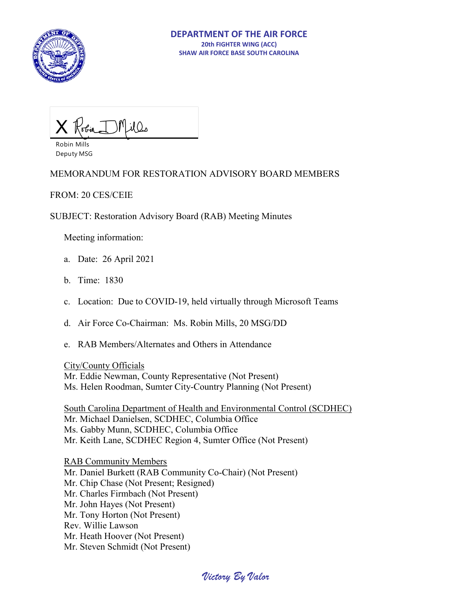

Millo X

Robin Mills Deputy MSG

### MEMORANDUM FOR RESTORATION ADVISORY BOARD MEMBERS

FROM: 20 CES/CEIE

SUBJECT: Restoration Advisory Board (RAB) Meeting Minutes

Meeting information:

- a. Date: 26 April 2021
- b. Time: 1830
- c. Location: Due to COVID-19, held virtually through Microsoft Teams
- d. Air Force Co-Chairman: Ms. Robin Mills, 20 MSG/DD
- e. RAB Members/Alternates and Others in Attendance

City/County Officials

 Mr. Eddie Newman, County Representative (Not Present) Ms. Helen Roodman, Sumter City-Country Planning (Not Present)

 South Carolina Department of Health and Environmental Control (SCDHEC) Mr. Michael Danielsen, SCDHEC, Columbia Office Ms. Gabby Munn, SCDHEC, Columbia Office Mr. Keith Lane, SCDHEC Region 4, Sumter Office (Not Present)

RAB Community Members Mr. Daniel Burkett (RAB Community Co-Chair) (Not Present) Mr. Chip Chase (Not Present; Resigned) Mr. Charles Firmbach (Not Present) Mr. John Hayes (Not Present) Mr. Tony Horton (Not Present) Rev. Willie Lawson Mr. Heath Hoover (Not Present) Mr. Steven Schmidt (Not Present)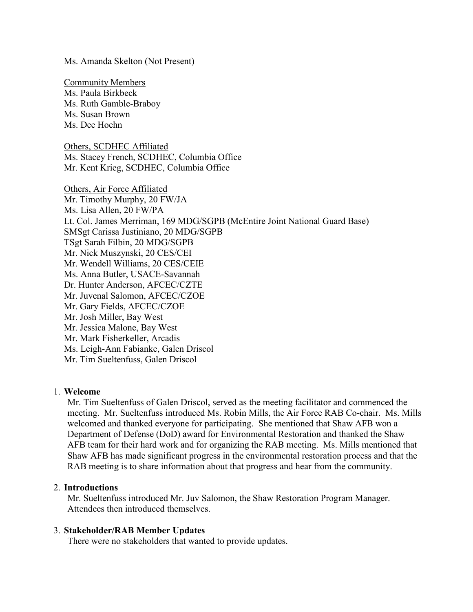Ms. Amanda Skelton (Not Present)

Community Members Ms. Paula Birkbeck Ms. Ruth Gamble-Braboy Ms. Susan Brown Ms. Dee Hoehn

Others, SCDHEC Affiliated Ms. Stacey French, SCDHEC, Columbia Office Mr. Kent Krieg, SCDHEC, Columbia Office

Others, Air Force Affiliated Mr. Timothy Murphy, 20 FW/JA Ms. Lisa Allen, 20 FW/PA Lt. Col. James Merriman, 169 MDG/SGPB (McEntire Joint National Guard Base) SMSgt Carissa Justiniano, 20 MDG/SGPB TSgt Sarah Filbin, 20 MDG/SGPB Mr. Nick Muszynski, 20 CES/CEI Mr. Wendell Williams, 20 CES/CEIE Ms. Anna Butler, USACE-Savannah Dr. Hunter Anderson, AFCEC/CZTE Mr. Juvenal Salomon, AFCEC/CZOE Mr. Gary Fields, AFCEC/CZOE Mr. Josh Miller, Bay West Mr. Jessica Malone, Bay West Mr. Mark Fisherkeller, Arcadis Ms. Leigh-Ann Fabianke, Galen Driscol Mr. Tim Sueltenfuss, Galen Driscol

### 1. **Welcome**

Mr. Tim Sueltenfuss of Galen Driscol, served as the meeting facilitator and commenced the meeting. Mr. Sueltenfuss introduced Ms. Robin Mills, the Air Force RAB Co-chair. Ms. Mills welcomed and thanked everyone for participating. She mentioned that Shaw AFB won a Department of Defense (DoD) award for Environmental Restoration and thanked the Shaw AFB team for their hard work and for organizing the RAB meeting. Ms. Mills mentioned that Shaw AFB has made significant progress in the environmental restoration process and that the RAB meeting is to share information about that progress and hear from the community.

#### 2. **Introductions**

Mr. Sueltenfuss introduced Mr. Juv Salomon, the Shaw Restoration Program Manager. Attendees then introduced themselves.

#### 3. **Stakeholder/RAB Member Updates**

There were no stakeholders that wanted to provide updates.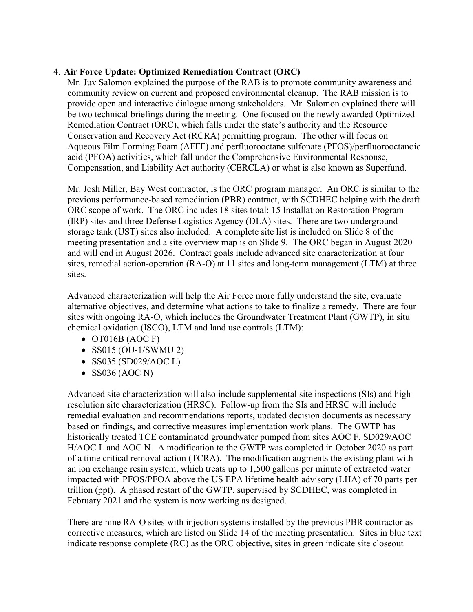### 4. **Air Force Update: Optimized Remediation Contract (ORC)**

Mr. Juv Salomon explained the purpose of the RAB is to promote community awareness and community review on current and proposed environmental cleanup. The RAB mission is to provide open and interactive dialogue among stakeholders. Mr. Salomon explained there will be two technical briefings during the meeting. One focused on the newly awarded Optimized Remediation Contract (ORC), which falls under the state's authority and the Resource Conservation and Recovery Act (RCRA) permitting program. The other will focus on Aqueous Film Forming Foam (AFFF) and perfluorooctane sulfonate (PFOS)/perfluorooctanoic acid (PFOA) activities, which fall under the Comprehensive Environmental Response, Compensation, and Liability Act authority (CERCLA) or what is also known as Superfund.

Mr. Josh Miller, Bay West contractor, is the ORC program manager. An ORC is similar to the previous performance-based remediation (PBR) contract, with SCDHEC helping with the draft ORC scope of work. The ORC includes 18 sites total: 15 Installation Restoration Program (IRP) sites and three Defense Logistics Agency (DLA) sites. There are two underground storage tank (UST) sites also included. A complete site list is included on Slide 8 of the meeting presentation and a site overview map is on Slide 9. The ORC began in August 2020 and will end in August 2026. Contract goals include advanced site characterization at four sites, remedial action-operation (RA-O) at 11 sites and long-term management (LTM) at three sites.

Advanced characterization will help the Air Force more fully understand the site, evaluate alternative objectives, and determine what actions to take to finalize a remedy. There are four sites with ongoing RA-O, which includes the Groundwater Treatment Plant (GWTP), in situ chemical oxidation (ISCO), LTM and land use controls (LTM):

- OT016B (AOC F)
- SS015 (OU-1/SWMU 2)
- SS035 (SD029/AOC L)
- SS036 (AOC N)

Advanced site characterization will also include supplemental site inspections (SIs) and highresolution site characterization (HRSC). Follow-up from the SIs and HRSC will include remedial evaluation and recommendations reports, updated decision documents as necessary based on findings, and corrective measures implementation work plans. The GWTP has historically treated TCE contaminated groundwater pumped from sites AOC F, SD029/AOC H/AOC L and AOC N. A modification to the GWTP was completed in October 2020 as part of a time critical removal action (TCRA). The modification augments the existing plant with an ion exchange resin system, which treats up to 1,500 gallons per minute of extracted water impacted with PFOS/PFOA above the US EPA lifetime health advisory (LHA) of 70 parts per trillion (ppt). A phased restart of the GWTP, supervised by SCDHEC, was completed in February 2021 and the system is now working as designed.

There are nine RA-O sites with injection systems installed by the previous PBR contractor as corrective measures, which are listed on Slide 14 of the meeting presentation. Sites in blue text indicate response complete (RC) as the ORC objective, sites in green indicate site closeout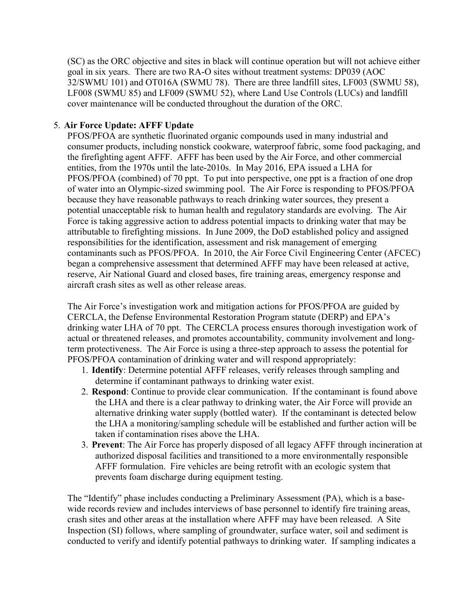(SC) as the ORC objective and sites in black will continue operation but will not achieve either goal in six years. There are two RA-O sites without treatment systems: DP039 (AOC 32/SWMU 101) and OT016A (SWMU 78). There are three landfill sites, LF003 (SWMU 58), LF008 (SWMU 85) and LF009 (SWMU 52), where Land Use Controls (LUCs) and landfill cover maintenance will be conducted throughout the duration of the ORC.

### 5. **Air Force Update: AFFF Update**

PFOS/PFOA are synthetic fluorinated organic compounds used in many industrial and consumer products, including nonstick cookware, waterproof fabric, some food packaging, and the firefighting agent AFFF. AFFF has been used by the Air Force, and other commercial entities, from the 1970s until the late-2010s. In May 2016, EPA issued a LHA for PFOS/PFOA (combined) of 70 ppt. To put into perspective, one ppt is a fraction of one drop of water into an Olympic-sized swimming pool. The Air Force is responding to PFOS/PFOA because they have reasonable pathways to reach drinking water sources, they present a potential unacceptable risk to human health and regulatory standards are evolving. The Air Force is taking aggressive action to address potential impacts to drinking water that may be attributable to firefighting missions. In June 2009, the DoD established policy and assigned responsibilities for the identification, assessment and risk management of emerging contaminants such as PFOS/PFOA. In 2010, the Air Force Civil Engineering Center (AFCEC) began a comprehensive assessment that determined AFFF may have been released at active, reserve, Air National Guard and closed bases, fire training areas, emergency response and aircraft crash sites as well as other release areas.

The Air Force's investigation work and mitigation actions for PFOS/PFOA are guided by CERCLA, the Defense Environmental Restoration Program statute (DERP) and EPA's drinking water LHA of 70 ppt. The CERCLA process ensures thorough investigation work of actual or threatened releases, and promotes accountability, community involvement and longterm protectiveness. The Air Force is using a three-step approach to assess the potential for PFOS/PFOA contamination of drinking water and will respond appropriately:

- 1. **Identify**: Determine potential AFFF releases, verify releases through sampling and determine if contaminant pathways to drinking water exist.
- 2. **Respond**: Continue to provide clear communication. If the contaminant is found above the LHA and there is a clear pathway to drinking water, the Air Force will provide an alternative drinking water supply (bottled water). If the contaminant is detected below the LHA a monitoring/sampling schedule will be established and further action will be taken if contamination rises above the LHA.
- 3. **Prevent**: The Air Force has properly disposed of all legacy AFFF through incineration at authorized disposal facilities and transitioned to a more environmentally responsible AFFF formulation. Fire vehicles are being retrofit with an ecologic system that prevents foam discharge during equipment testing.

The "Identify" phase includes conducting a Preliminary Assessment (PA), which is a basewide records review and includes interviews of base personnel to identify fire training areas, crash sites and other areas at the installation where AFFF may have been released. A Site Inspection (SI) follows, where sampling of groundwater, surface water, soil and sediment is conducted to verify and identify potential pathways to drinking water. If sampling indicates a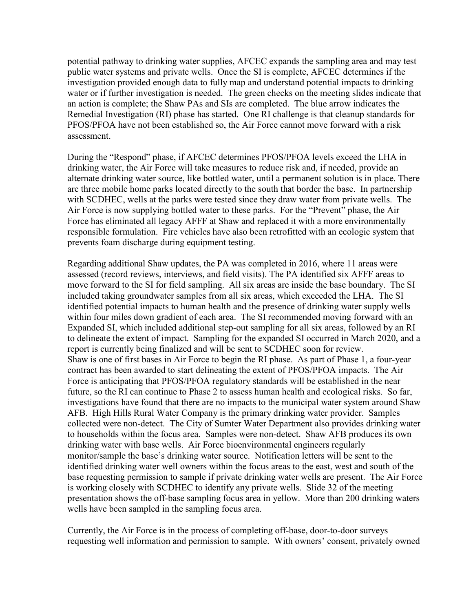potential pathway to drinking water supplies, AFCEC expands the sampling area and may test public water systems and private wells. Once the SI is complete, AFCEC determines if the investigation provided enough data to fully map and understand potential impacts to drinking water or if further investigation is needed. The green checks on the meeting slides indicate that an action is complete; the Shaw PAs and SIs are completed. The blue arrow indicates the Remedial Investigation (RI) phase has started. One RI challenge is that cleanup standards for PFOS/PFOA have not been established so, the Air Force cannot move forward with a risk assessment.

During the "Respond" phase, if AFCEC determines PFOS/PFOA levels exceed the LHA in drinking water, the Air Force will take measures to reduce risk and, if needed, provide an alternate drinking water source, like bottled water, until a permanent solution is in place. There are three mobile home parks located directly to the south that border the base. In partnership with SCDHEC, wells at the parks were tested since they draw water from private wells. The Air Force is now supplying bottled water to these parks. For the "Prevent" phase, the Air Force has eliminated all legacy AFFF at Shaw and replaced it with a more environmentally responsible formulation. Fire vehicles have also been retrofitted with an ecologic system that prevents foam discharge during equipment testing.

Regarding additional Shaw updates, the PA was completed in 2016, where 11 areas were assessed (record reviews, interviews, and field visits). The PA identified six AFFF areas to move forward to the SI for field sampling. All six areas are inside the base boundary. The SI included taking groundwater samples from all six areas, which exceeded the LHA. The SI identified potential impacts to human health and the presence of drinking water supply wells within four miles down gradient of each area. The SI recommended moving forward with an Expanded SI, which included additional step-out sampling for all six areas, followed by an RI to delineate the extent of impact. Sampling for the expanded SI occurred in March 2020, and a report is currently being finalized and will be sent to SCDHEC soon for review. Shaw is one of first bases in Air Force to begin the RI phase. As part of Phase 1, a four-year contract has been awarded to start delineating the extent of PFOS/PFOA impacts. The Air Force is anticipating that PFOS/PFOA regulatory standards will be established in the near future, so the RI can continue to Phase 2 to assess human health and ecological risks. So far, investigations have found that there are no impacts to the municipal water system around Shaw AFB. High Hills Rural Water Company is the primary drinking water provider. Samples collected were non-detect. The City of Sumter Water Department also provides drinking water to households within the focus area. Samples were non-detect. Shaw AFB produces its own drinking water with base wells. Air Force bioenvironmental engineers regularly monitor/sample the base's drinking water source. Notification letters will be sent to the identified drinking water well owners within the focus areas to the east, west and south of the base requesting permission to sample if private drinking water wells are present. The Air Force is working closely with SCDHEC to identify any private wells. Slide 32 of the meeting presentation shows the off-base sampling focus area in yellow. More than 200 drinking waters wells have been sampled in the sampling focus area.

Currently, the Air Force is in the process of completing off-base, door-to-door surveys requesting well information and permission to sample. With owners' consent, privately owned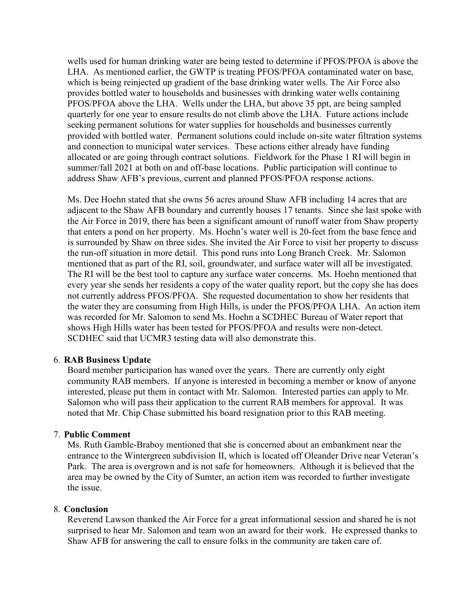wells used for human drinking water are being tested to determine if PFOS/PFOA is above the LHA. As mentioned earlier, the GWTP is treating PFOS/PFOA contaminated water on base, which is being reinjected up gradient of the base drinking water wells. The Air Force also provides bottled water to households and businesses with drinking water wells containing PFOS/PFOA above the LHA. Wells under the LHA, but above 35 ppt, are being sampled quarterly for one year to ensure results do not climb above the LHA. Future actions include seeking permanent solutions for water supplies for households and businesses currently provided with bottled water. Permanent solutions could include on-site water filtration systems and connection to municipal water services. These actions either already have funding allocated or are going through contract solutions. Fieldwork for the Phase 1 RI will begin in summer/fall 2021 at both on and off-base locations. Public participation will continue to address Shaw AFB's previous, current and planned PFOS/PFOA response actions.

Ms. Dee Hoehn stated that she owns 56 acres around Shaw AFB including 14 acres that are adjacent to the Shaw AFB boundary and currently houses 17 tenants. Since she last spoke with the Air Force in 2019, there has been a significant amount of runoff water from Shaw property that enters a pond on her property. Ms. Hoehn's water well is 20-feet from the base fence and is surrounded by Shaw on three sides. She invited the Air Force to visit her property to discuss the run-off situation in more detail. This pond runs into Long Branch Creek. Mr. Salomon mentioned that as part of the RI, soil, groundwater, and surface water will all be investigated. The RI will be the best tool to capture any surface water concerns. Ms. Hoehn mentioned that every year she sends her residents a copy of the water quality report, but the copy she has does not currently address PFOS/PFOA. She requested documentation to show her residents that the water they are consuming from High Hills, is under the PFOS/PFOA LHA. An action item was recorded for Mr. Salomon to send Ms. Hoehn a SCDHEC Bureau of Water report that shows High Hills water has been tested for PFOS/PFOA and results were non-detect. SCDHEC said that UCMR3 testing data will also demonstrate this.

#### 6. **RAB Business Update**

Board member participation has waned over the years. There are currently only eight community RAB members. If anyone is interested in becoming a member or know of anyone interested, please put them in contact with Mr. Salomon. Interested parties can apply to Mr. Salomon who will pass their application to the current RAB members for approval. It was noted that Mr. Chip Chase submitted his board resignation prior to this RAB meeting.

### 7. **Public Comment**

Ms. Ruth Gamble-Braboy mentioned that she is concerned about an embankment near the entrance to the Wintergreen subdivision II, which is located off Oleander Drive near Veteran's Park. The area is overgrown and is not safe for homeowners. Although it is believed that the area may be owned by the City of Sumter, an action item was recorded to further investigate the issue.

#### 8. **Conclusion**

Reverend Lawson thanked the Air Force for a great informational session and shared he is not surprised to hear Mr. Salomon and team won an award for their work. He expressed thanks to Shaw AFB for answering the call to ensure folks in the community are taken care of.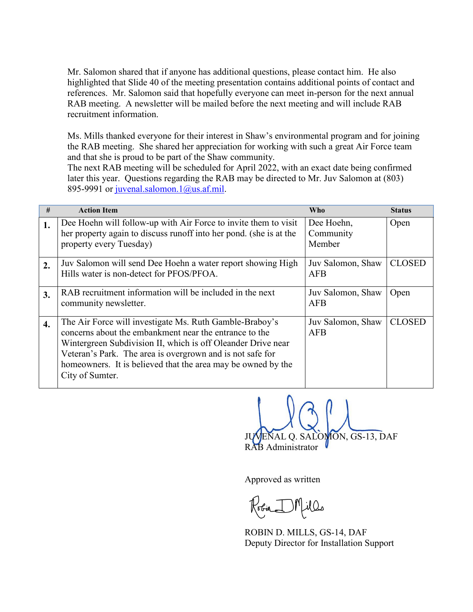Mr. Salomon shared that if anyone has additional questions, please contact him. He also highlighted that Slide 40 of the meeting presentation contains additional points of contact and references. Mr. Salomon said that hopefully everyone can meet in-person for the next annual RAB meeting. A newsletter will be mailed before the next meeting and will include RAB recruitment information.

Ms. Mills thanked everyone for their interest in Shaw's environmental program and for joining the RAB meeting. She shared her appreciation for working with such a great Air Force team and that she is proud to be part of the Shaw community.

The next RAB meeting will be scheduled for April 2022, with an exact date being confirmed later this year. Questions regarding the RAB may be directed to Mr. Juv Salomon at (803) 895-9991 or [juvenal.salomon.1@us.af.mil.](mailto:juvenal.salomon.1@us.af.mil)

| #                | <b>Action Item</b>                                                                                                                                                                                                                                                                                                                | <b>Who</b>                        | <b>Status</b> |
|------------------|-----------------------------------------------------------------------------------------------------------------------------------------------------------------------------------------------------------------------------------------------------------------------------------------------------------------------------------|-----------------------------------|---------------|
| 1.               | Dee Hoehn will follow-up with Air Force to invite them to visit<br>her property again to discuss runoff into her pond. (she is at the<br>property every Tuesday)                                                                                                                                                                  | Dee Hoehn,<br>Community<br>Member | Open          |
| 2.               | Juv Salomon will send Dee Hoehn a water report showing High<br>Hills water is non-detect for PFOS/PFOA.                                                                                                                                                                                                                           | Juv Salomon, Shaw<br>AFB          | <b>CLOSED</b> |
| 3.               | RAB recruitment information will be included in the next<br>community newsletter.                                                                                                                                                                                                                                                 | Juv Salomon, Shaw<br>AFB          | Open          |
| $\overline{4}$ . | The Air Force will investigate Ms. Ruth Gamble-Braboy's<br>concerns about the embankment near the entrance to the<br>Wintergreen Subdivision II, which is off Oleander Drive near<br>Veteran's Park. The area is overgrown and is not safe for<br>homeowners. It is believed that the area may be owned by the<br>City of Sumter. | Juv Salomon, Shaw<br>AFB          | <b>CLOSED</b> |

 JUVENAL Q. SALOMON, GS-13, DAF RAB Administrator

Approved as written

Robin IMM

 ROBIN D. MILLS, GS-14, DAF Deputy Director for Installation Support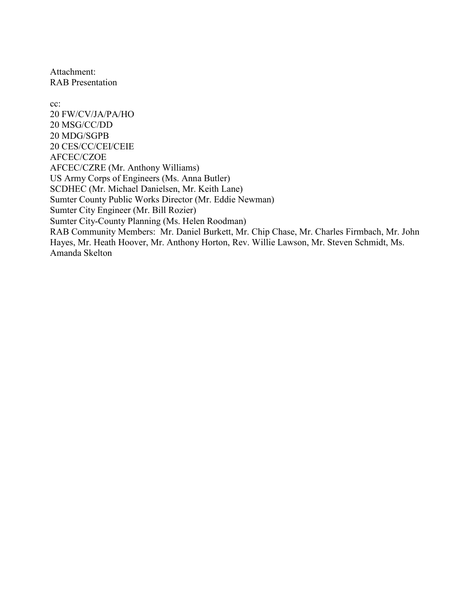Attachment: RAB Presentation

cc:

20 FW/CV/JA/PA/HO 20 MSG/CC/DD 20 MDG/SGPB 20 CES/CC/CEI/CEIE AFCEC/CZOE AFCEC/CZRE (Mr. Anthony Williams) US Army Corps of Engineers (Ms. Anna Butler) SCDHEC (Mr. Michael Danielsen, Mr. Keith Lane) Sumter County Public Works Director (Mr. Eddie Newman) Sumter City Engineer (Mr. Bill Rozier) Sumter City-County Planning (Ms. Helen Roodman) RAB Community Members: Mr. Daniel Burkett, Mr. Chip Chase, Mr. Charles Firmbach, Mr. John Hayes, Mr. Heath Hoover, Mr. Anthony Horton, Rev. Willie Lawson, Mr. Steven Schmidt, Ms. Amanda Skelton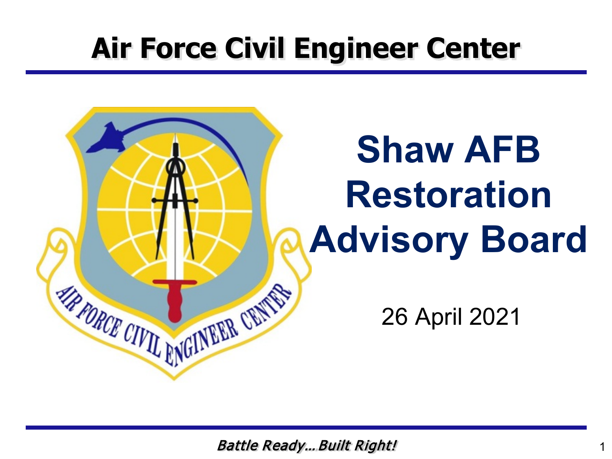### **Air Force Civil Engineer Center**

# **Shaw AFB Restoration Advisory Board**

26 April 2021

Battle Ready…Built Right!

**FRANCE CIVIL ENGINEER CRIMES**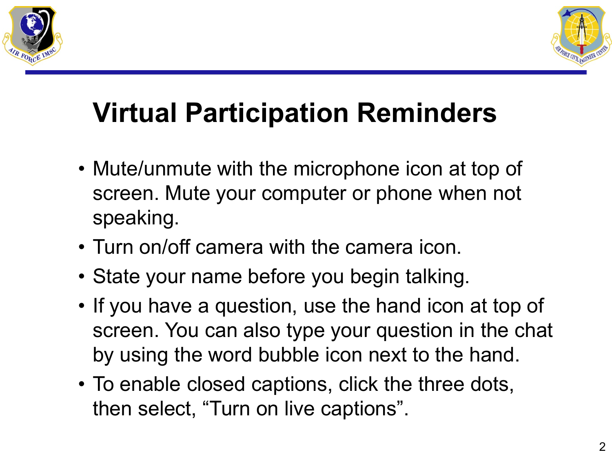



### **Virtual Participation Reminders**

- Mute/unmute with the microphone icon at top of screen. Mute your computer or phone when not speaking.
- Turn on/off camera with the camera icon.
- State your name before you begin talking.
- If you have a question, use the hand icon at top of screen. You can also type your question in the chat by using the word bubble icon next to the hand.
- To enable closed captions, click the three dots, then select, "Turn on live captions".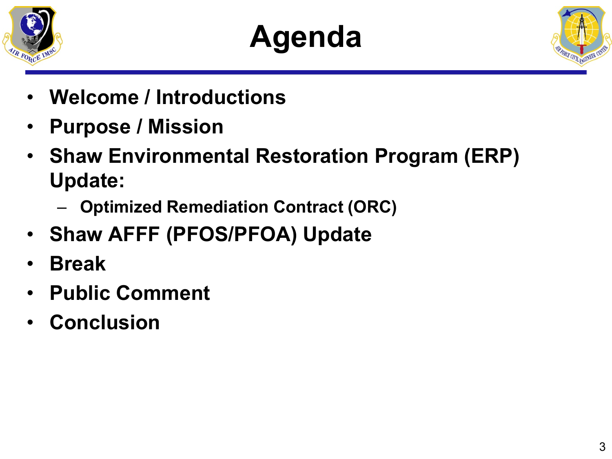

## **Agenda**



- **Welcome / Introductions**
- **Purpose / Mission**
- **Shaw Environmental Restoration Program (ERP) Update:** 
	- **Optimized Remediation Contract (ORC)**
- **Shaw AFFF (PFOS/PFOA) Update**
- **Break**
- **Public Comment**
- **Conclusion**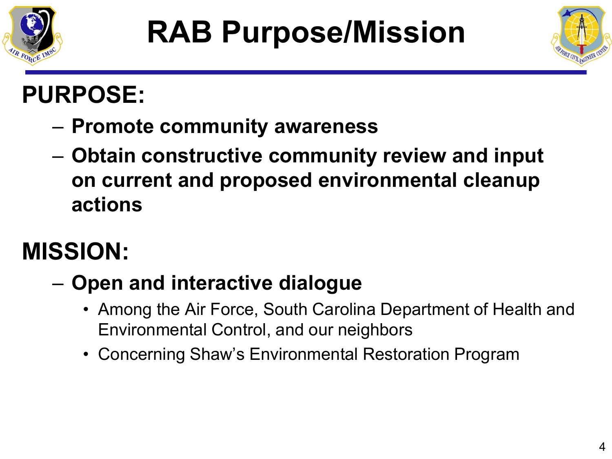



### **PURPOSE:**

- **Promote community awareness**
- **Obtain constructive community review and input on current and proposed environmental cleanup actions**

### **MISSION:**

- **Open and interactive dialogue**
	- Among the Air Force, South Carolina Department of Health and Environmental Control, and our neighbors
	- Concerning Shaw's Environmental Restoration Program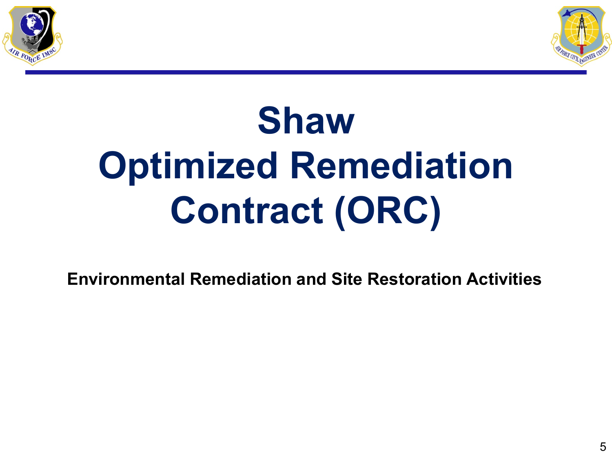



# **Shaw Optimized Remediation Contract (ORC)**

**Environmental Remediation and Site Restoration Activities**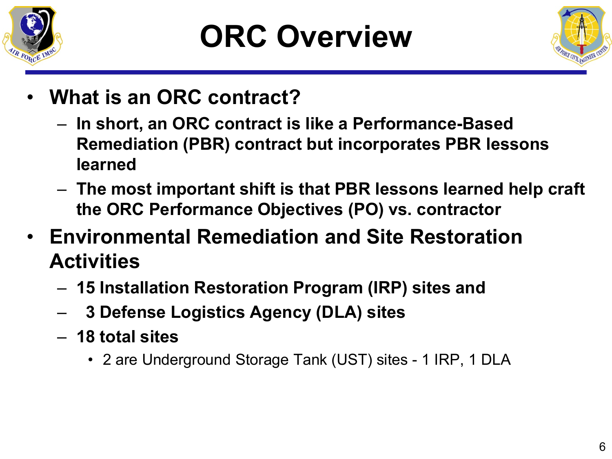

## **ORC Overview**



- **What is an ORC contract?** 
	- **In short, an ORC contract is like a Performance-Based Remediation (PBR) contract but incorporates PBR lessons learned**
	- **The most important shift is that PBR lessons learned help craft the ORC Performance Objectives (PO) vs. contractor**
- **Environmental Remediation and Site Restoration Activities**
	- **15 Installation Restoration Program (IRP) sites and**
	- **3 Defense Logistics Agency (DLA) sites**
	- **18 total sites**
		- 2 are Underground Storage Tank (UST) sites 1 IRP, 1 DLA